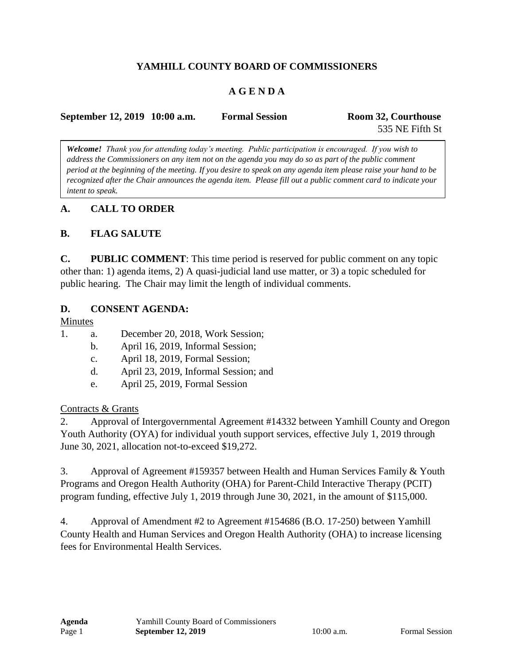# **YAMHILL COUNTY BOARD OF COMMISSIONERS**

### **A G E N D A**

| September 12, 2019 10:00 a.m. | <b>Formal Session</b> | Room 32, Courthouse |
|-------------------------------|-----------------------|---------------------|
|                               |                       | 535 NE Fifth St     |

*Welcome! Thank you for attending today's meeting. Public participation is encouraged. If you wish to address the Commissioners on any item not on the agenda you may do so as part of the public comment period at the beginning of the meeting. If you desire to speak on any agenda item please raise your hand to be recognized after the Chair announces the agenda item. Please fill out a public comment card to indicate your intent to speak.*

### **A. CALL TO ORDER**

#### **B. FLAG SALUTE**

**C. PUBLIC COMMENT**: This time period is reserved for public comment on any topic other than: 1) agenda items, 2) A quasi-judicial land use matter, or 3) a topic scheduled for public hearing. The Chair may limit the length of individual comments.

#### **D. CONSENT AGENDA:**

#### Minutes

- 1. a. December 20, 2018, Work Session;
	- b. April 16, 2019, Informal Session;
	- c. April 18, 2019, Formal Session;
	- d. April 23, 2019, Informal Session; and
	- e. April 25, 2019, Formal Session

#### Contracts & Grants

2. Approval of Intergovernmental Agreement #14332 between Yamhill County and Oregon Youth Authority (OYA) for individual youth support services, effective July 1, 2019 through June 30, 2021, allocation not-to-exceed \$19,272.

3. Approval of Agreement #159357 between Health and Human Services Family & Youth Programs and Oregon Health Authority (OHA) for Parent-Child Interactive Therapy (PCIT) program funding, effective July 1, 2019 through June 30, 2021, in the amount of \$115,000.

4. Approval of Amendment #2 to Agreement #154686 (B.O. 17-250) between Yamhill County Health and Human Services and Oregon Health Authority (OHA) to increase licensing fees for Environmental Health Services.